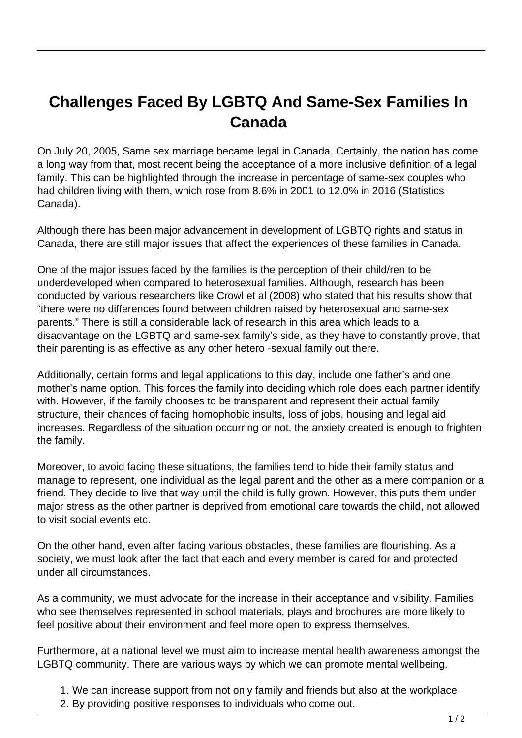## **Challenges Faced By LGBTQ And Same-Sex Families In Canada**

On July 20, 2005, Same sex marriage became legal in Canada. Certainly, the nation has come a long way from that, most recent being the acceptance of a more inclusive definition of a legal family. This can be highlighted through the increase in percentage of same-sex couples who had children living with them, which rose from 8.6% in 2001 to 12.0% in 2016 (Statistics Canada).

Although there has been major advancement in development of LGBTQ rights and status in Canada, there are still major issues that affect the experiences of these families in Canada.

One of the major issues faced by the families is the perception of their child/ren to be underdeveloped when compared to heterosexual families. Although, research has been conducted by various researchers like Crowl et al (2008) who stated that his results show that "there were no differences found between children raised by heterosexual and same-sex parents." There is still a considerable lack of research in this area which leads to a disadvantage on the LGBTQ and same-sex family's side, as they have to constantly prove, that their parenting is as effective as any other hetero -sexual family out there.

Additionally, certain forms and legal applications to this day, include one father's and one mother's name option. This forces the family into deciding which role does each partner identify with. However, if the family chooses to be transparent and represent their actual family structure, their chances of facing homophobic insults, loss of jobs, housing and legal aid increases. Regardless of the situation occurring or not, the anxiety created is enough to frighten the family.

Moreover, to avoid facing these situations, the families tend to hide their family status and manage to represent, one individual as the legal parent and the other as a mere companion or a friend. They decide to live that way until the child is fully grown. However, this puts them under major stress as the other partner is deprived from emotional care towards the child, not allowed to visit social events etc.

On the other hand, even after facing various obstacles, these families are flourishing. As a society, we must look after the fact that each and every member is cared for and protected under all circumstances.

As a community, we must advocate for the increase in their acceptance and visibility. Families who see themselves represented in school materials, plays and brochures are more likely to feel positive about their environment and feel more open to express themselves.

Furthermore, at a national level we must aim to increase mental health awareness amongst the LGBTQ community. There are various ways by which we can promote mental wellbeing.

- 1. We can increase support from not only family and friends but also at the workplace
- 2. By providing positive responses to individuals who come out.